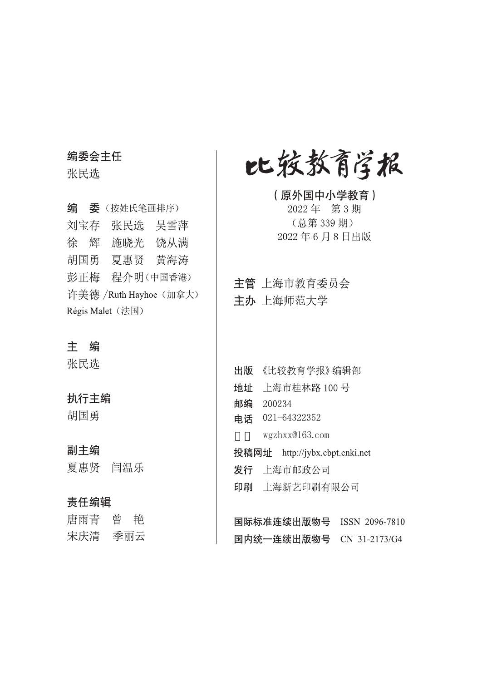#### 编委会主任

张民选

编 委 (按姓氏笔画排序) 刘宝存 张民选 吴雪萍 徐 辉 施晓光 饶从满 胡国勇 夏惠贤 黄海涛 彭正梅 程介明(中国香港) 许美德 /Ruth Hayhoe (加拿大) Régis Malet (法国)

#### 主编

张民选

#### 执行主编

胡国勇

#### 副主编

夏惠贤 闫温乐

#### 责任编辑

| 唐雨青 | 曾 | 艳   |
|-----|---|-----|
| 宋庆清 |   | 季丽云 |

比较教育学报

(原外国中小学教育) 2022年 第3期 (总第339期) 2022年6月8日出版

主管 上海市教育委员会 主办 上海师范大学

出版 《比较教育学报》编辑部 地址 上海市桂林路 100号 邮编 200234 电话 021-64322352 wgzhxx@163.com 投稿网址 http://jybx.cbpt.cnki.net 发行 上海市邮政公司 印刷 上海新艺印刷有限公司

国际标准连续出版物号 ISSN 2096-7810 国内统一连续出版物号 CN 31-2173/G4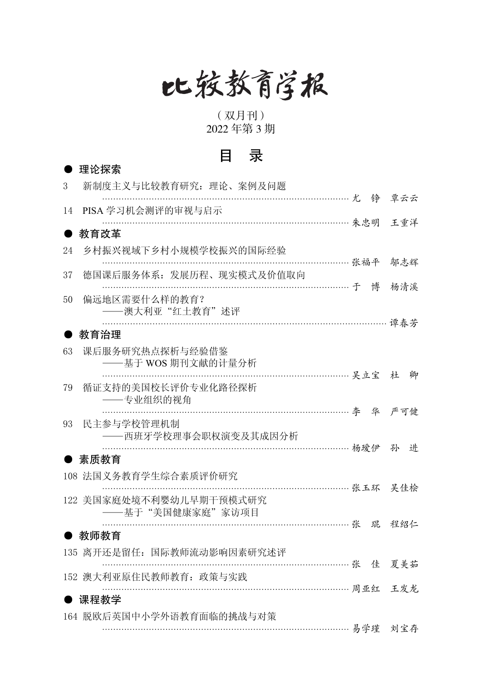# 比较教育学报

(双月刊) 2022 年第 3 期

### 目 录

|    | 理论探索                                                   |   |     |   |
|----|--------------------------------------------------------|---|-----|---|
| 3  | 新制度主义与比较教育研究: 理论、案例及问题                                 |   |     |   |
| 14 | ……………………… 尤 铮<br>PISA 学习机会测评的审视与启示                     |   | 覃云云 |   |
|    | 教育改革                                                   |   |     |   |
| 24 | 乡村振兴视域下乡村小规模学校振兴的国际经验                                  |   |     |   |
| 37 | 张福平<br>德国课后服务体系: 发展历程、现实模式及价值取向                        |   | 邬志辉 |   |
| 50 | 偏远地区需要什么样的教育?<br>——澳大利亚"红土教育"述评                        | 博 | 杨清溪 |   |
|    | 教育治理                                                   |   | 谭春芳 |   |
| 63 | 课后服务研究热点探析与经验借鉴<br>----基于 WOS 期刊文献的计量分析                |   |     | 卿 |
| 79 | 循证支持的美国校长评价专业化路径探析<br>——专业组织的视角                        |   |     |   |
| 93 | 民主参与学校管理机制<br>——西班牙学校理事会职权演变及其成因分析                     |   |     |   |
|    | ……………… 杨瑷伊<br>素质教育                                     |   | 孙   | 讲 |
|    | 108 法国义务教育学生综合素质评价研究                                   |   |     |   |
|    | 张玉环 吴佳桧<br>122 美国家庭处境不利婴幼儿早期干预模式研究<br>——基于"美国健康家庭"家访项目 |   |     |   |
|    | ………………… 张<br>教师教育                                      | 琨 | 程绍仁 |   |
|    | 135 离开还是留任: 国际教师流动影响因素研究述评                             |   |     |   |
|    | 张 佳<br>152 澳大利亚原住民教师教育: 政策与实践                          |   | 夏美茹 |   |
|    | 周亚红 王发龙<br>课程教学                                        |   |     |   |
|    | 164 脱欧后英国中小学外语教育面临的挑战与对策<br>………………………… 易学瑾             |   | 刘宝存 |   |